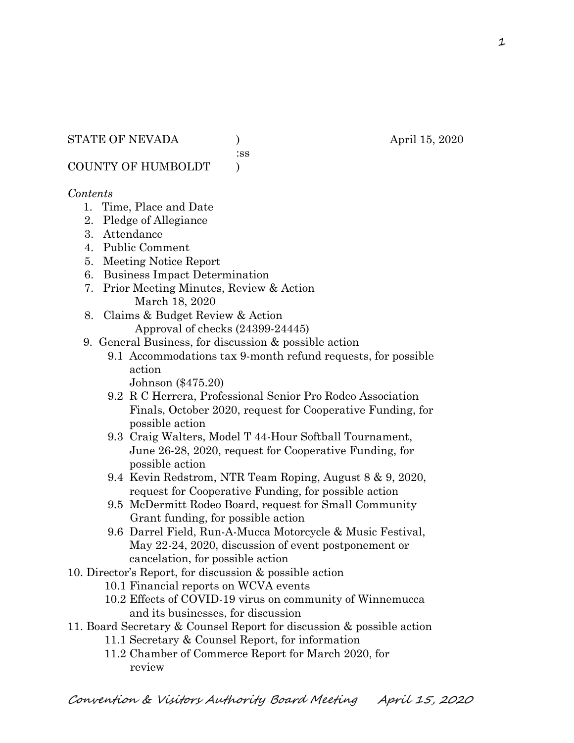:ss

COUNTY OF HUMBOLDT )

## *Contents*

- 1. Time, Place and Date
- 2. Pledge of Allegiance
- 3. Attendance
- 4. Public Comment
- 5. Meeting Notice Report
- 6. Business Impact Determination
- 7. Prior Meeting Minutes, Review & Action March 18, 2020
- 8. Claims & Budget Review & Action
	- Approval of checks (24399-24445)
- 9. General Business, for discussion & possible action
	- 9.1 Accommodations tax 9-month refund requests, for possible action
		- Johnson (\$475.20)
	- 9.2 R C Herrera, Professional Senior Pro Rodeo Association Finals, October 2020, request for Cooperative Funding, for possible action
	- 9.3 Craig Walters, Model T 44-Hour Softball Tournament, June 26-28, 2020, request for Cooperative Funding, for possible action
	- 9.4 Kevin Redstrom, NTR Team Roping, August 8 & 9, 2020, request for Cooperative Funding, for possible action
	- 9.5 McDermitt Rodeo Board, request for Small Community Grant funding, for possible action
	- 9.6 Darrel Field, Run-A-Mucca Motorcycle & Music Festival, May 22-24, 2020, discussion of event postponement or cancelation, for possible action
- 10. Director's Report, for discussion & possible action
	- 10.1 Financial reports on WCVA events
	- 10.2 Effects of COVID-19 virus on community of Winnemucca and its businesses, for discussion
- 11. Board Secretary & Counsel Report for discussion & possible action
	- 11.1 Secretary & Counsel Report, for information
	- 11.2 Chamber of Commerce Report for March 2020, for review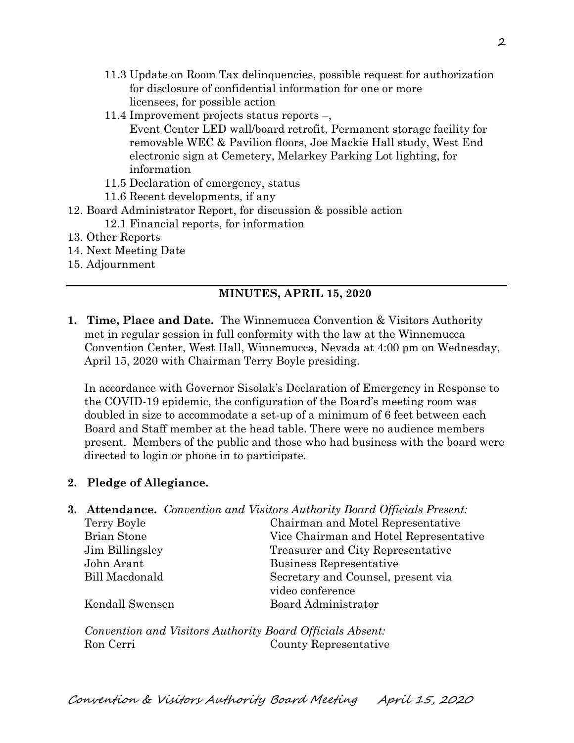- 11.3 Update on Room Tax delinquencies, possible request for authorization for disclosure of confidential information for one or more licensees, for possible action
- 11.4 Improvement projects status reports –,

 Event Center LED wall/board retrofit, Permanent storage facility for removable WEC & Pavilion floors, Joe Mackie Hall study, West End electronic sign at Cemetery, Melarkey Parking Lot lighting, for information

- 11.5 Declaration of emergency, status
- 11.6 Recent developments, if any
- 12. Board Administrator Report, for discussion & possible action
	- 12.1 Financial reports, for information
- 13. Other Reports
- 14. Next Meeting Date
- 15. Adjournment

## **MINUTES, APRIL 15, 2020**

**1. Time, Place and Date.** The Winnemucca Convention & Visitors Authority met in regular session in full conformity with the law at the Winnemucca Convention Center, West Hall, Winnemucca, Nevada at 4:00 pm on Wednesday, April 15, 2020 with Chairman Terry Boyle presiding.

In accordance with Governor Sisolak's Declaration of Emergency in Response to the COVID-19 epidemic, the configuration of the Board's meeting room was doubled in size to accommodate a set-up of a minimum of 6 feet between each Board and Staff member at the head table. There were no audience members present. Members of the public and those who had business with the board were directed to login or phone in to participate.

## **2. Pledge of Allegiance.**

|                       | <b>3. Attendance.</b> Convention and Visitors Authority Board Officials Present: |
|-----------------------|----------------------------------------------------------------------------------|
| Terry Boyle           | Chairman and Motel Representative                                                |
| Brian Stone           | Vice Chairman and Hotel Representative                                           |
| Jim Billingsley       | Treasurer and City Representative                                                |
| John Arant            | Business Representative                                                          |
| <b>Bill Macdonald</b> | Secretary and Counsel, present via                                               |
|                       | video conference                                                                 |
| Kendall Swensen       | Board Administrator                                                              |
|                       |                                                                                  |
|                       |                                                                                  |

*Convention and Visitors Authority Board Officials Absent:*  Ron Cerri County Representative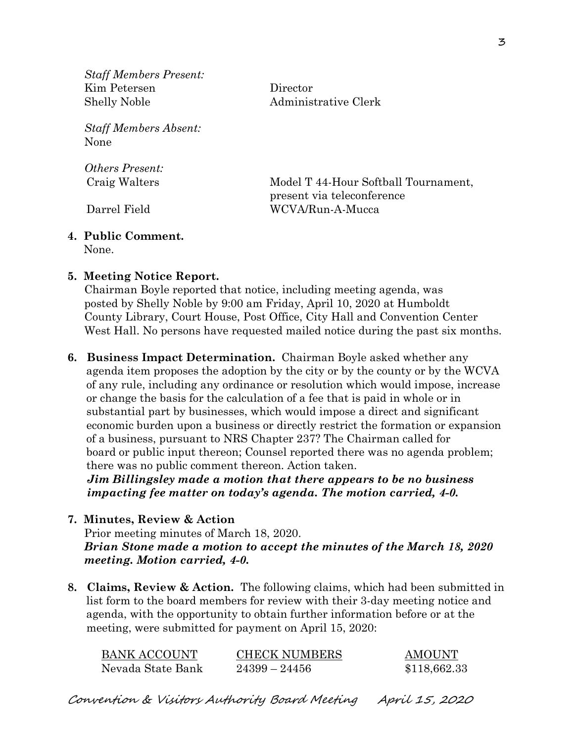*Staff Members Present:* Kim Petersen Director Shelly Noble Administrative Clerk

*Staff Members Absent:* None

*Others Present:*

 Craig Walters Model T 44-Hour Softball Tournament, present via teleconference Darrel Field WCVA/Run-A-Mucca

#### **4. Public Comment.** None.

**5. Meeting Notice Report.**

Chairman Boyle reported that notice, including meeting agenda, was posted by Shelly Noble by 9:00 am Friday, April 10, 2020 at Humboldt County Library, Court House, Post Office, City Hall and Convention Center West Hall. No persons have requested mailed notice during the past six months.

**6. Business Impact Determination.** Chairman Boyle asked whether any agenda item proposes the adoption by the city or by the county or by the WCVA of any rule, including any ordinance or resolution which would impose, increase or change the basis for the calculation of a fee that is paid in whole or in substantial part by businesses, which would impose a direct and significant economic burden upon a business or directly restrict the formation or expansion of a business, pursuant to NRS Chapter 237? The Chairman called for board or public input thereon; Counsel reported there was no agenda problem; there was no public comment thereon. Action taken.

 *Jim Billingsley made a motion that there appears to be no business impacting fee matter on today's agenda. The motion carried, 4-0.* 

## **7. Minutes, Review & Action**

Prior meeting minutes of March 18, 2020. *Brian Stone made a motion to accept the minutes of the March 18, 2020 meeting. Motion carried, 4-0.*

**8. Claims, Review & Action.** The following claims, which had been submitted in list form to the board members for review with their 3-day meeting notice and agenda, with the opportunity to obtain further information before or at the meeting, were submitted for payment on April 15, 2020:

| BANK ACCOUNT      | <b>CHECK NUMBERS</b> | <b>AMOUNT</b> |
|-------------------|----------------------|---------------|
| Nevada State Bank | $24399 - 24456$      | \$118,662.33  |

Convention & Visitors Authority Board Meeting April 15, 2020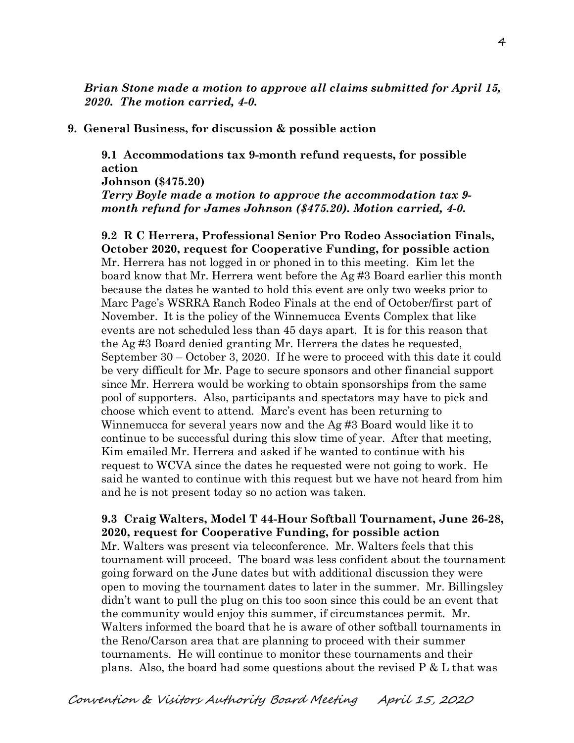*Brian Stone made a motion to approve all claims submitted for April 15, 2020. The motion carried, 4-0.*

### **9. General Business, for discussion & possible action**

**9.1 Accommodations tax 9-month refund requests, for possible action Johnson (\$475.20)** *Terry Boyle made a motion to approve the accommodation tax 9 month refund for James Johnson (\$475.20). Motion carried, 4-0.*

**9.2 R C Herrera, Professional Senior Pro Rodeo Association Finals, October 2020, request for Cooperative Funding, for possible action** Mr. Herrera has not logged in or phoned in to this meeting. Kim let the board know that Mr. Herrera went before the Ag #3 Board earlier this month because the dates he wanted to hold this event are only two weeks prior to Marc Page's WSRRA Ranch Rodeo Finals at the end of October/first part of November. It is the policy of the Winnemucca Events Complex that like events are not scheduled less than 45 days apart. It is for this reason that the Ag #3 Board denied granting Mr. Herrera the dates he requested, September 30 – October 3, 2020. If he were to proceed with this date it could be very difficult for Mr. Page to secure sponsors and other financial support since Mr. Herrera would be working to obtain sponsorships from the same pool of supporters. Also, participants and spectators may have to pick and choose which event to attend. Marc's event has been returning to Winnemucca for several years now and the Ag #3 Board would like it to continue to be successful during this slow time of year. After that meeting, Kim emailed Mr. Herrera and asked if he wanted to continue with his request to WCVA since the dates he requested were not going to work. He said he wanted to continue with this request but we have not heard from him and he is not present today so no action was taken.

## **9.3 Craig Walters, Model T 44-Hour Softball Tournament, June 26-28, 2020, request for Cooperative Funding, for possible action**

Mr. Walters was present via teleconference. Mr. Walters feels that this tournament will proceed. The board was less confident about the tournament going forward on the June dates but with additional discussion they were open to moving the tournament dates to later in the summer. Mr. Billingsley didn't want to pull the plug on this too soon since this could be an event that the community would enjoy this summer, if circumstances permit. Mr. Walters informed the board that he is aware of other softball tournaments in the Reno/Carson area that are planning to proceed with their summer tournaments. He will continue to monitor these tournaments and their plans. Also, the board had some questions about the revised  $P \& L$  that was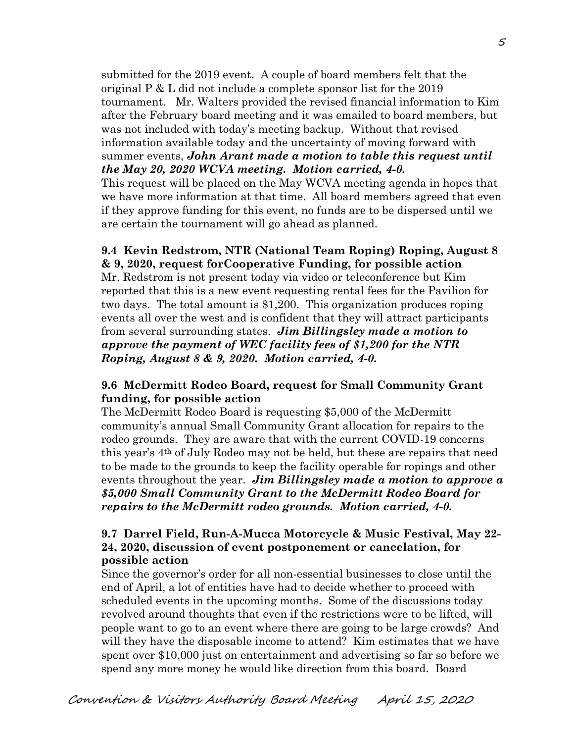submitted for the 2019 event. A couple of board members felt that the original P & L did not include a complete sponsor list for the 2019 tournament. Mr. Walters provided the revised financial information to Kim after the February board meeting and it was emailed to board members, but was not included with today's meeting backup. Without that revised information available today and the uncertainty of moving forward with summer events, *John Arant made a motion to table this request until the May 20, 2020 WCVA meeting. Motion carried, 4-0.* 

This request will be placed on the May WCVA meeting agenda in hopes that we have more information at that time. All board members agreed that even if they approve funding for this event, no funds are to be dispersed until we are certain the tournament will go ahead as planned.

## **9.4 Kevin Redstrom, NTR (National Team Roping) Roping, August 8 & 9, 2020, request forCooperative Funding, for possible action**

Mr. Redstrom is not present today via video or teleconference but Kim reported that this is a new event requesting rental fees for the Pavilion for two days. The total amount is \$1,200. This organization produces roping events all over the west and is confident that they will attract participants from several surrounding states. *Jim Billingsley made a motion to approve the payment of WEC facility fees of \$1,200 for the NTR Roping, August 8 & 9, 2020. Motion carried, 4-0.* 

## **9.6 McDermitt Rodeo Board, request for Small Community Grant funding, for possible action**

The McDermitt Rodeo Board is requesting \$5,000 of the McDermitt community's annual Small Community Grant allocation for repairs to the rodeo grounds. They are aware that with the current COVID-19 concerns this year's 4th of July Rodeo may not be held, but these are repairs that need to be made to the grounds to keep the facility operable for ropings and other events throughout the year. *Jim Billingsley made a motion to approve a \$5,000 Small Community Grant to the McDermitt Rodeo Board for repairs to the McDermitt rodeo grounds. Motion carried, 4-0.* 

## **9.7 Darrel Field, Run-A-Mucca Motorcycle & Music Festival, May 22- 24, 2020, discussion of event postponement or cancelation, for possible action**

Since the governor's order for all non-essential businesses to close until the end of April, a lot of entities have had to decide whether to proceed with scheduled events in the upcoming months. Some of the discussions today revolved around thoughts that even if the restrictions were to be lifted, will people want to go to an event where there are going to be large crowds? And will they have the disposable income to attend? Kim estimates that we have spent over \$10,000 just on entertainment and advertising so far so before we spend any more money he would like direction from this board. Board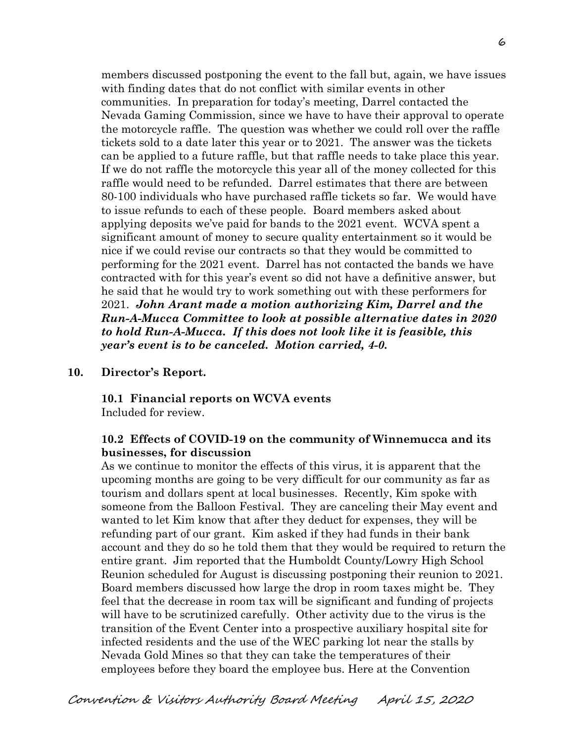members discussed postponing the event to the fall but, again, we have issues with finding dates that do not conflict with similar events in other communities. In preparation for today's meeting, Darrel contacted the Nevada Gaming Commission, since we have to have their approval to operate the motorcycle raffle. The question was whether we could roll over the raffle tickets sold to a date later this year or to 2021. The answer was the tickets can be applied to a future raffle, but that raffle needs to take place this year. If we do not raffle the motorcycle this year all of the money collected for this raffle would need to be refunded. Darrel estimates that there are between 80-100 individuals who have purchased raffle tickets so far. We would have to issue refunds to each of these people. Board members asked about applying deposits we've paid for bands to the 2021 event. WCVA spent a significant amount of money to secure quality entertainment so it would be nice if we could revise our contracts so that they would be committed to performing for the 2021 event. Darrel has not contacted the bands we have contracted with for this year's event so did not have a definitive answer, but he said that he would try to work something out with these performers for 2021. *John Arant made a motion authorizing Kim, Darrel and the Run-A-Mucca Committee to look at possible alternative dates in 2020 to hold Run-A-Mucca. If this does not look like it is feasible, this year's event is to be canceled. Motion carried, 4-0.*

#### **10. Director's Report.**

### **10.1 Financial reports on WCVA events**

Included for review.

## **10.2 Effects of COVID-19 on the community of Winnemucca and its businesses, for discussion**

As we continue to monitor the effects of this virus, it is apparent that the upcoming months are going to be very difficult for our community as far as tourism and dollars spent at local businesses. Recently, Kim spoke with someone from the Balloon Festival. They are canceling their May event and wanted to let Kim know that after they deduct for expenses, they will be refunding part of our grant. Kim asked if they had funds in their bank account and they do so he told them that they would be required to return the entire grant. Jim reported that the Humboldt County/Lowry High School Reunion scheduled for August is discussing postponing their reunion to 2021. Board members discussed how large the drop in room taxes might be. They feel that the decrease in room tax will be significant and funding of projects will have to be scrutinized carefully. Other activity due to the virus is the transition of the Event Center into a prospective auxiliary hospital site for infected residents and the use of the WEC parking lot near the stalls by Nevada Gold Mines so that they can take the temperatures of their employees before they board the employee bus. Here at the Convention

# Convention & Visitors Authority Board Meeting April 15, 2020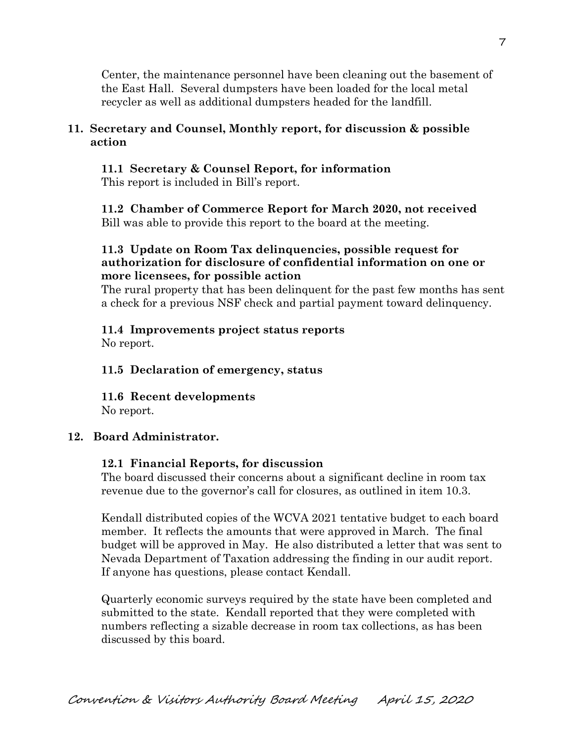Center, the maintenance personnel have been cleaning out the basement of the East Hall. Several dumpsters have been loaded for the local metal recycler as well as additional dumpsters headed for the landfill.

## **11. Secretary and Counsel, Monthly report, for discussion & possible action**

 **11.1 Secretary & Counsel Report, for information**  This report is included in Bill's report.

**11.2 Chamber of Commerce Report for March 2020, not received** Bill was able to provide this report to the board at the meeting.

## **11.3 Update on Room Tax delinquencies, possible request for authorization for disclosure of confidential information on one or more licensees, for possible action**

The rural property that has been delinquent for the past few months has sent a check for a previous NSF check and partial payment toward delinquency.

# **11.4 Improvements project status reports**

No report.

# **11.5 Declaration of emergency, status**

**11.6 Recent developments**

No report.

# **12. Board Administrator.**

## **12.1 Financial Reports, for discussion**

The board discussed their concerns about a significant decline in room tax revenue due to the governor's call for closures, as outlined in item 10.3.

Kendall distributed copies of the WCVA 2021 tentative budget to each board member. It reflects the amounts that were approved in March. The final budget will be approved in May. He also distributed a letter that was sent to Nevada Department of Taxation addressing the finding in our audit report. If anyone has questions, please contact Kendall.

Quarterly economic surveys required by the state have been completed and submitted to the state. Kendall reported that they were completed with numbers reflecting a sizable decrease in room tax collections, as has been discussed by this board.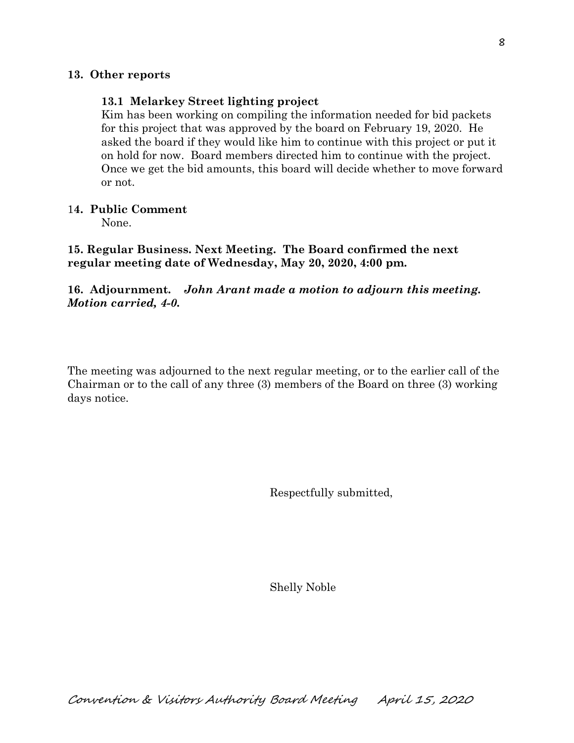#### **13. Other reports**

#### **13.1 Melarkey Street lighting project**

Kim has been working on compiling the information needed for bid packets for this project that was approved by the board on February 19, 2020. He asked the board if they would like him to continue with this project or put it on hold for now. Board members directed him to continue with the project. Once we get the bid amounts, this board will decide whether to move forward or not.

#### 1**4. Public Comment**

None.

**15. Regular Business. Next Meeting. The Board confirmed the next regular meeting date of Wednesday, May 20, 2020, 4:00 pm.** 

### **16. Adjournment.** *John Arant made a motion to adjourn this meeting. Motion carried, 4-0.*

The meeting was adjourned to the next regular meeting, or to the earlier call of the Chairman or to the call of any three (3) members of the Board on three (3) working days notice.

Respectfully submitted,

Shelly Noble